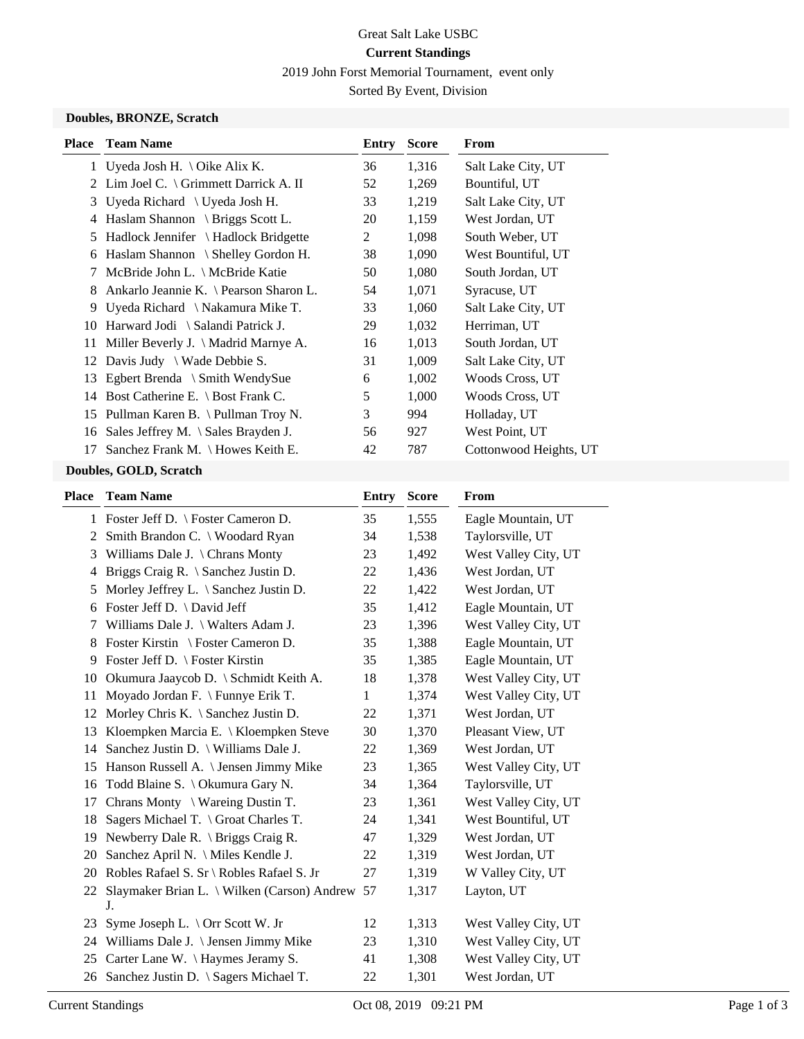## Great Salt Lake USBC **Current Standings** 2019 John Forst Memorial Tournament, event only Sorted By Event, Division

#### **Doubles, BRONZE, Scratch**

| <b>Place</b> | <b>Team Name</b>                              | Entry | <b>Score</b> | From                   |
|--------------|-----------------------------------------------|-------|--------------|------------------------|
|              | 1 Uyeda Josh H. \ Oike Alix K.                | 36    | 1,316        | Salt Lake City, UT     |
|              | 2 Lim Joel C. \ Grimmett Darrick A. II        | 52    | 1,269        | Bountiful, UT          |
| 3            | Uyeda Richard \ Uyeda Josh H.                 | 33    | 1,219        | Salt Lake City, UT     |
| 4            | Haslam Shannon \ Briggs Scott L.              | 20    | 1,159        | West Jordan, UT        |
| 5            | Hadlock Jennifer \ Hadlock Bridgette          | 2     | 1,098        | South Weber, UT        |
| 6            | Haslam Shannon \ Shelley Gordon H.            | 38    | 1,090        | West Bountiful, UT     |
| 7            | McBride John L. \ McBride Katie               | 50    | 1,080        | South Jordan, UT       |
| 8            | Ankarlo Jeannie K. \ Pearson Sharon L.        | 54    | 1,071        | Syracuse, UT           |
| 9            | Uyeda Richard $\Lambda$ Nakamura Mike T.      | 33    | 1,060        | Salt Lake City, UT     |
|              | 10 Harward Jodi \ Salandi Patrick J.          | 29    | 1,032        | Herriman, UT           |
|              | 11 Miller Beverly J. \ Madrid Marnye A.       | 16    | 1,013        | South Jordan, UT       |
|              | 12 Davis Judy $\setminus$ Wade Debbie S.      | 31    | 1,009        | Salt Lake City, UT     |
| 13           | Egbert Brenda $\setminus$ Smith WendySue      | 6     | 1,002        | Woods Cross, UT        |
| 14           | Bost Catherine E. \ Bost Frank C.             | 5     | 1,000        | Woods Cross, UT        |
| 15           | Pullman Karen B. \ Pullman Troy N.            | 3     | 994          | Holladay, UT           |
| 16           | Sales Jeffrey M. $\setminus$ Sales Brayden J. | 56    | 927          | West Point, UT         |
| 17           | Sanchez Frank M. $\backslash$ Howes Keith E.  | 42    | 787          | Cottonwood Heights, UT |

## **Doubles, GOLD, Scratch**

| Place          | <b>Team Name</b>                                | <b>Entry</b> | <b>Score</b> | <b>From</b>          |
|----------------|-------------------------------------------------|--------------|--------------|----------------------|
|                | 1 Foster Jeff D. \ Foster Cameron D.            | 35           | 1,555        | Eagle Mountain, UT   |
| 2              | Smith Brandon C. \ Woodard Ryan                 | 34           | 1,538        | Taylorsville, UT     |
| 3              | Williams Dale J. $\{Chrans\ Monty\}$            | 23           | 1,492        | West Valley City, UT |
| $\overline{4}$ | Briggs Craig R. \ Sanchez Justin D.             | 22           | 1,436        | West Jordan, UT      |
| 5              | Morley Jeffrey L. $\setminus$ Sanchez Justin D. | 22           | 1,422        | West Jordan, UT      |
| 6              | Foster Jeff D. \ David Jeff                     | 35           | 1,412        | Eagle Mountain, UT   |
| 7              | Williams Dale J. \ Walters Adam J.              | 23           | 1,396        | West Valley City, UT |
| 8              | Foster Kirstin \ Foster Cameron D.              | 35           | 1,388        | Eagle Mountain, UT   |
| 9              | Foster Jeff D. \ Foster Kirstin                 | 35           | 1,385        | Eagle Mountain, UT   |
| 10             | Okumura Jaaycob D. \ Schmidt Keith A.           | 18           | 1,378        | West Valley City, UT |
| 11             | Moyado Jordan F. \ Funnye Erik T.               | $\mathbf{1}$ | 1,374        | West Valley City, UT |
| 12             | Morley Chris K. \ Sanchez Justin D.             | 22           | 1,371        | West Jordan, UT      |
| 13             | Kloempken Marcia E. \ Kloempken Steve           | 30           | 1,370        | Pleasant View, UT    |
| 14             | Sanchez Justin D. \ Williams Dale J.            | 22           | 1,369        | West Jordan, UT      |
| 15             | Hanson Russell A. \ Jensen Jimmy Mike           | 23           | 1,365        | West Valley City, UT |
| 16             | Todd Blaine S. \ Okumura Gary N.                | 34           | 1,364        | Taylorsville, UT     |
| 17             | Chrans Monty $\setminus$ Wareing Dustin T.      | 23           | 1,361        | West Valley City, UT |
| 18             | Sagers Michael T. \ Groat Charles T.            | 24           | 1,341        | West Bountiful, UT   |
| 19             | Newberry Dale R. \ Briggs Craig R.              | 47           | 1,329        | West Jordan, UT      |
| 20             | Sanchez April N. \ Miles Kendle J.              | 22           | 1,319        | West Jordan, UT      |
| 20             | Robles Rafael S. Sr \ Robles Rafael S. Jr       | 27           | 1,319        | W Valley City, UT    |
| 22             | Slaymaker Brian L. \ Wilken (Carson) Andrew     | 57           | 1,317        | Layton, UT           |
|                | J.                                              |              |              |                      |
| 23             | Syme Joseph L. $\setminus$ Orr Scott W. Jr      | 12           | 1,313        | West Valley City, UT |
| 24             | Williams Dale J. \ Jensen Jimmy Mike            | 23           | 1,310        | West Valley City, UT |
|                | 25 Carter Lane W. \ Haymes Jeramy S.            | 41           | 1,308        | West Valley City, UT |
|                | 26 Sanchez Justin D. \ Sagers Michael T.        | 22           | 1,301        | West Jordan, UT      |
|                |                                                 |              |              |                      |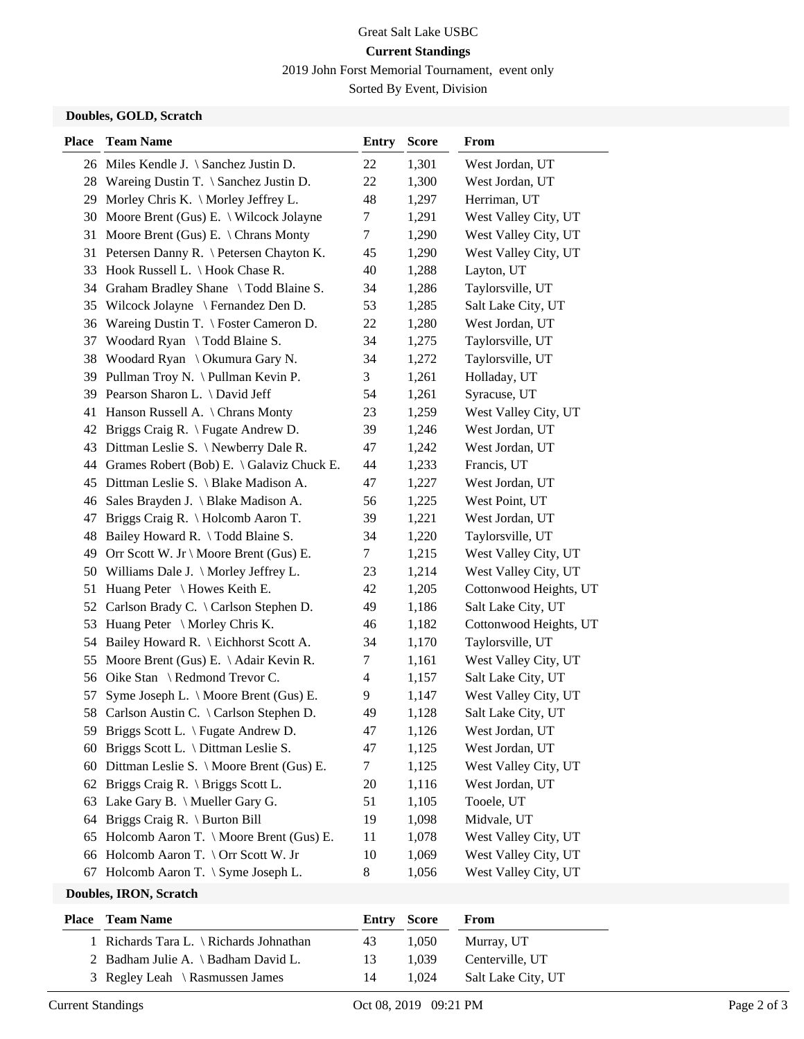# Great Salt Lake USBC **Current Standings** 2019 John Forst Memorial Tournament, event only Sorted By Event, Division

### **Doubles, GOLD, Scratch**

| <b>Place</b> | <b>Team Name</b>                             | <b>Entry</b> | <b>Score</b> | From                   |
|--------------|----------------------------------------------|--------------|--------------|------------------------|
|              | 26 Miles Kendle J. \ Sanchez Justin D.       | 22           | 1,301        | West Jordan, UT        |
|              | 28 Wareing Dustin T. \ Sanchez Justin D.     | 22           | 1,300        | West Jordan, UT        |
| 29           | Morley Chris K. \ Morley Jeffrey L.          | 48           | 1,297        | Herriman, UT           |
|              | 30 Moore Brent (Gus) E. \ Wilcock Jolayne    | 7            | 1,291        | West Valley City, UT   |
|              | 31 Moore Brent (Gus) E. \ Chrans Monty       | 7            | 1,290        | West Valley City, UT   |
|              | 31 Petersen Danny R. \ Petersen Chayton K.   | 45           | 1,290        | West Valley City, UT   |
| 33           | Hook Russell L. \ Hook Chase R.              | 40           | 1,288        | Layton, UT             |
|              | 34 Graham Bradley Shane \Todd Blaine S.      | 34           | 1,286        | Taylorsville, UT       |
| 35           | Wilcock Jolayne \ Fernandez Den D.           | 53           | 1,285        | Salt Lake City, UT     |
|              | 36 Wareing Dustin T. \ Foster Cameron D.     | 22           | 1,280        | West Jordan, UT        |
| 37           | Woodard Ryan \ Todd Blaine S.                | 34           | 1,275        | Taylorsville, UT       |
| 38           | Woodard Ryan \ Okumura Gary N.               | 34           | 1,272        | Taylorsville, UT       |
| 39           | Pullman Troy N. \ Pullman Kevin P.           | 3            | 1,261        | Holladay, UT           |
|              | 39 Pearson Sharon L. \ David Jeff            | 54           | 1,261        | Syracuse, UT           |
|              | 41 Hanson Russell A. \ Chrans Monty          | 23           | 1,259        | West Valley City, UT   |
| 42           | Briggs Craig R. $\langle$ Fugate Andrew D.   | 39           | 1,246        | West Jordan, UT        |
| 43           | Dittman Leslie S. \ Newberry Dale R.         | 47           | 1,242        | West Jordan, UT        |
|              | 44 Grames Robert (Bob) E. \ Galaviz Chuck E. | 44           | 1,233        | Francis, UT            |
|              | 45 Dittman Leslie S. \ Blake Madison A.      | 47           | 1,227        | West Jordan, UT        |
|              | 46 Sales Brayden J. \ Blake Madison A.       | 56           | 1,225        | West Point, UT         |
| 47           | Briggs Craig R. \ Holcomb Aaron T.           | 39           | 1,221        | West Jordan, UT        |
| 48           | Bailey Howard R. \Todd Blaine S.             | 34           | 1,220        | Taylorsville, UT       |
|              | 49 Orr Scott W. Jr \ Moore Brent (Gus) E.    | 7            | 1,215        | West Valley City, UT   |
|              | 50 Williams Dale J. \ Morley Jeffrey L.      | 23           | 1,214        | West Valley City, UT   |
| 51           | Huang Peter \ Howes Keith E.                 | 42           | 1,205        | Cottonwood Heights, UT |
|              | 52 Carlson Brady C. \ Carlson Stephen D.     | 49           | 1,186        | Salt Lake City, UT     |
| 53           | Huang Peter \ Morley Chris K.                | 46           | 1,182        | Cottonwood Heights, UT |
| 54           | Bailey Howard R. \ Eichhorst Scott A.        | 34           | 1,170        | Taylorsville, UT       |
| 55           | Moore Brent (Gus) E. \ Adair Kevin R.        | 7            | 1,161        | West Valley City, UT   |
|              | 56 Oike Stan \ Redmond Trevor C.             | 4            | 1,157        | Salt Lake City, UT     |
| 57           | Syme Joseph L. \ Moore Brent (Gus) E.        | 9            | 1,147        | West Valley City, UT   |
|              | 58 Carlson Austin C. \ Carlson Stephen D.    | 49           | 1,128        | Salt Lake City, UT     |
|              | 59 Briggs Scott L. \ Fugate Andrew D.        | 47           | 1,126        | West Jordan, UT        |
| 60           | Briggs Scott L. \ Dittman Leslie S.          | 47           | 1,125        | West Jordan, UT        |
|              | 60 Dittman Leslie S. \ Moore Brent (Gus) E.  | 7            | 1,125        | West Valley City, UT   |
| 62           | Briggs Craig R. \ Briggs Scott L.            | 20           | 1,116        | West Jordan, UT        |
| 63           | Lake Gary B. \ Mueller Gary G.               | 51           | 1,105        | Tooele, UT             |
| 64           | Briggs Craig R. $\setminus$ Burton Bill      | 19           | 1,098        | Midvale, UT            |
| 65           | Holcomb Aaron T. \ Moore Brent (Gus) E.      | 11           | 1,078        | West Valley City, UT   |
|              | 66 Holcomb Aaron T. \ Orr Scott W. Jr        | 10           | 1,069        | West Valley City, UT   |
| 67           | Holcomb Aaron T. \ Syme Joseph L.            | 8            | 1,056        | West Valley City, UT   |
|              | Doubles, IRON, Scratch                       |              |              |                        |

| <b>Place</b> Team Name                           |    | <b>Entry Score</b> | From               |
|--------------------------------------------------|----|--------------------|--------------------|
| Richards Tara L. $\backslash$ Richards Johnathan | 43 | 1,050              | Murray, UT         |
| 2 Badham Julie A. \ Badham David L.              | 13 | 1.039              | Centerville, UT    |
| 3 Regley Leah \ Rasmussen James                  | 14 | 1.024              | Salt Lake City, UT |